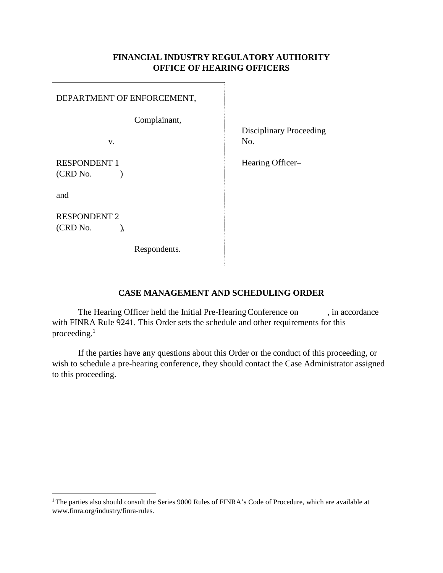#### **FINANCIAL INDUSTRY REGULATORY AUTHORITY OFFICE OF HEARING OFFICERS**

#### DEPARTMENT OF ENFORCEMENT,

Complainant,

v.

RESPONDENT 1  $(CRD No.$ 

and

RESPONDENT 2 (CRD No. ),

Respondents.

Disciplinary Proceeding No.

Hearing Officer–

### **CASE MANAGEMENT AND SCHEDULING ORDER**

The Hearing Officer held the Initial Pre-Hearing Conference on , in accordance with FINRA Rule 9241. This Order sets the schedule and other requirements for this proceeding.<sup>1</sup>

If the parties have any questions about this Order or the conduct of this proceeding, or wish to schedule a pre-hearing conference, they should contact the Case Administrator assigned to this proceeding.

<span id="page-0-0"></span><sup>&</sup>lt;sup>1</sup> The parties also should consult the Series 9000 Rules of FINRA's Code of Procedure, which are available at [www.finra.org/industry/finra-rules.](http://www.finra.org/industry/finra-rules)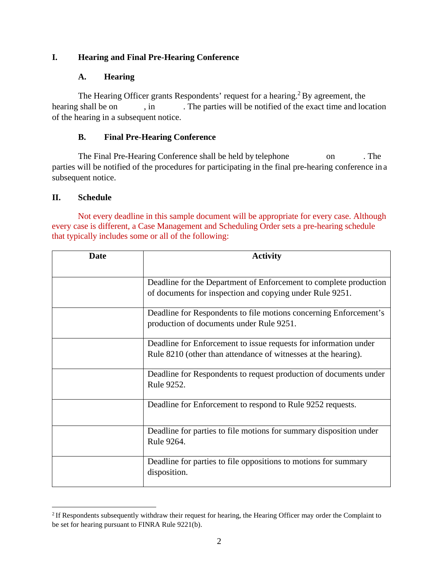## **I. Hearing and Final Pre-Hearing Conference**

### **A. Hearing**

The Hearing Officer grants Respondents' request for a hearing.<sup>[2](#page-1-0)</sup> By agreement, the hearing shall be on , in . The parties will be notified of the exact time and location of the hearing in a subsequent notice.

### **B. Final Pre-Hearing Conference**

The Final Pre-Hearing Conference shall be held by telephone on . The parties will be notified of the procedures for participating in the final pre-hearing conference in a subsequent notice.

### **II. Schedule**

Not every deadline in this sample document will be appropriate for every case. Although every case is different, a Case Management and Scheduling Order sets a pre-hearing schedule that typically includes some or all of the following:

| Date | <b>Activity</b>                                                                 |
|------|---------------------------------------------------------------------------------|
|      |                                                                                 |
|      | Deadline for the Department of Enforcement to complete production               |
|      | of documents for inspection and copying under Rule 9251.                        |
|      | Deadline for Respondents to file motions concerning Enforcement's               |
|      | production of documents under Rule 9251.                                        |
|      | Deadline for Enforcement to issue requests for information under                |
|      | Rule 8210 (other than attendance of witnesses at the hearing).                  |
|      | Deadline for Respondents to request production of documents under<br>Rule 9252. |
|      | Deadline for Enforcement to respond to Rule 9252 requests.                      |
|      | Deadline for parties to file motions for summary disposition under              |
|      | Rule 9264.                                                                      |
|      | Deadline for parties to file oppositions to motions for summary                 |
|      | disposition.                                                                    |

<span id="page-1-0"></span><sup>&</sup>lt;sup>2</sup> If Respondents subsequently withdraw their request for hearing, the Hearing Officer may order the Complaint to be set for hearing pursuant to FINRA Rule 9221(b).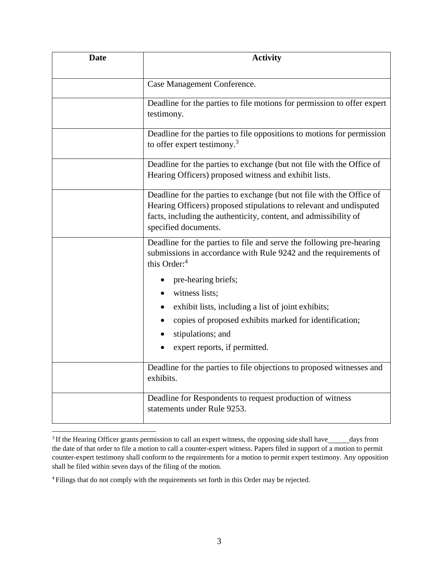| <b>Date</b> | <b>Activity</b>                                                                                                                                                                                                                         |
|-------------|-----------------------------------------------------------------------------------------------------------------------------------------------------------------------------------------------------------------------------------------|
|             | Case Management Conference.                                                                                                                                                                                                             |
|             | Deadline for the parties to file motions for permission to offer expert<br>testimony.                                                                                                                                                   |
|             | Deadline for the parties to file oppositions to motions for permission<br>to offer expert testimony. <sup>3</sup>                                                                                                                       |
|             | Deadline for the parties to exchange (but not file with the Office of<br>Hearing Officers) proposed witness and exhibit lists.                                                                                                          |
|             | Deadline for the parties to exchange (but not file with the Office of<br>Hearing Officers) proposed stipulations to relevant and undisputed<br>facts, including the authenticity, content, and admissibility of<br>specified documents. |
|             | Deadline for the parties to file and serve the following pre-hearing<br>submissions in accordance with Rule 9242 and the requirements of<br>this Order: <sup>4</sup>                                                                    |
|             | pre-hearing briefs;<br>witness lists;                                                                                                                                                                                                   |
|             | exhibit lists, including a list of joint exhibits;<br>copies of proposed exhibits marked for identification;<br>stipulations; and<br>expert reports, if permitted.                                                                      |
|             | Deadline for the parties to file objections to proposed witnesses and<br>exhibits.                                                                                                                                                      |
|             | Deadline for Respondents to request production of witness<br>statements under Rule 9253.                                                                                                                                                |

<span id="page-2-0"></span><sup>&</sup>lt;sup>3</sup> If the Hearing Officer grants permission to call an expert witness, the opposing side shall have\_\_\_\_\_days from the date of that order to file a motion to call a counter-expert witness. Papers filed in support of a motion to permit counter-expert testimony shall conform to the requirements for a motion to permit expert testimony. Any opposition shall be filed within seven days of the filing of the motion.

<span id="page-2-1"></span><sup>4</sup> Filings that do not comply with the requirements set forth in this Order may be rejected.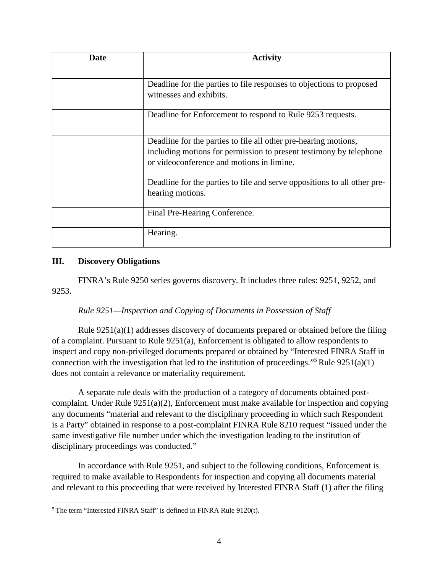| Date | <b>Activity</b>                                                                                                 |
|------|-----------------------------------------------------------------------------------------------------------------|
|      | Deadline for the parties to file responses to objections to proposed                                            |
|      | witnesses and exhibits.                                                                                         |
|      | Deadline for Enforcement to respond to Rule 9253 requests.                                                      |
|      | Deadline for the parties to file all other pre-hearing motions,                                                 |
|      | including motions for permission to present testimony by telephone<br>or videoconference and motions in limine. |
|      | Deadline for the parties to file and serve oppositions to all other pre-                                        |
|      | hearing motions.                                                                                                |
|      | Final Pre-Hearing Conference.                                                                                   |
|      | Hearing.                                                                                                        |

#### **III. Discovery Obligations**

FINRA's Rule 9250 series governs discovery. It includes three rules: 9251, 9252, and 9253.

### *Rule 9251—Inspection and Copying of Documents in Possession of Staff*

Rule 9251(a)(1) addresses discovery of documents prepared or obtained before the filing of a complaint. Pursuant to Rule 9251(a), Enforcement is obligated to allow respondents to inspect and copy non-privileged documents prepared or obtained by "Interested FINRA Staff in connection with the investigation that led to the institution of proceedings."<sup>[5](#page-3-0)</sup> Rule  $9251(a)(1)$ does not contain a relevance or materiality requirement.

A separate rule deals with the production of a category of documents obtained postcomplaint. Under Rule 9251(a)(2), Enforcement must make available for inspection and copying any documents "material and relevant to the disciplinary proceeding in which such Respondent is a Party" obtained in response to a post-complaint FINRA Rule 8210 request "issued under the same investigative file number under which the investigation leading to the institution of disciplinary proceedings was conducted."

In accordance with Rule 9251, and subject to the following conditions, Enforcement is required to make available to Respondents for inspection and copying all documents material and relevant to this proceeding that were received by Interested FINRA Staff (1) after the filing

<span id="page-3-0"></span> $5$  The term "Interested FINRA Staff" is defined in FINRA Rule 9120(t).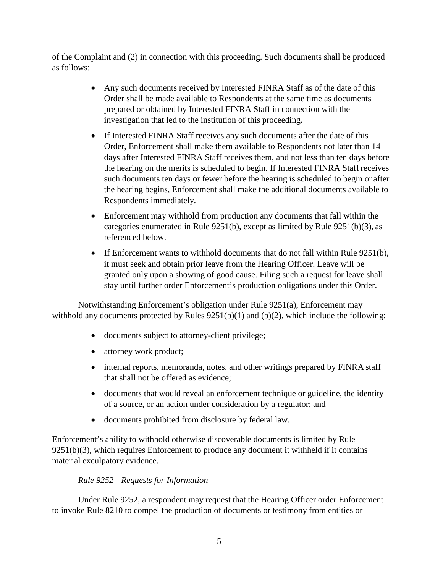of the Complaint and (2) in connection with this proceeding. Such documents shall be produced as follows:

- Any such documents received by Interested FINRA Staff as of the date of this Order shall be made available to Respondents at the same time as documents prepared or obtained by Interested FINRA Staff in connection with the investigation that led to the institution of this proceeding.
- If Interested FINRA Staff receives any such documents after the date of this Order, Enforcement shall make them available to Respondents not later than 14 days after Interested FINRA Staff receives them, and not less than ten days before the hearing on the merits is scheduled to begin. If Interested FINRA Staffreceives such documents ten days or fewer before the hearing is scheduled to begin or after the hearing begins, Enforcement shall make the additional documents available to Respondents immediately.
- Enforcement may withhold from production any documents that fall within the categories enumerated in Rule 9251(b), except as limited by Rule 9251(b)(3), as referenced below.
- If Enforcement wants to withhold documents that do not fall within Rule 9251(b), it must seek and obtain prior leave from the Hearing Officer. Leave will be granted only upon a showing of good cause. Filing such a request for leave shall stay until further order Enforcement's production obligations under this Order.

Notwithstanding Enforcement's obligation under Rule 9251(a), Enforcement may withhold any documents protected by Rules 9251(b)(1) and (b)(2), which include the following:

- documents subject to attorney-client privilege;
- attorney work product;
- internal reports, memoranda, notes, and other writings prepared by FINRA staff that shall not be offered as evidence;
- documents that would reveal an enforcement technique or guideline, the identity of a source, or an action under consideration by a regulator; and
- documents prohibited from disclosure by federal law.

Enforcement's ability to withhold otherwise discoverable documents is limited by Rule  $9251(b)(3)$ , which requires Enforcement to produce any document it withheld if it contains material exculpatory evidence.

# *Rule 9252—Requests for Information*

Under Rule 9252, a respondent may request that the Hearing Officer order Enforcement to invoke Rule 8210 to compel the production of documents or testimony from entities or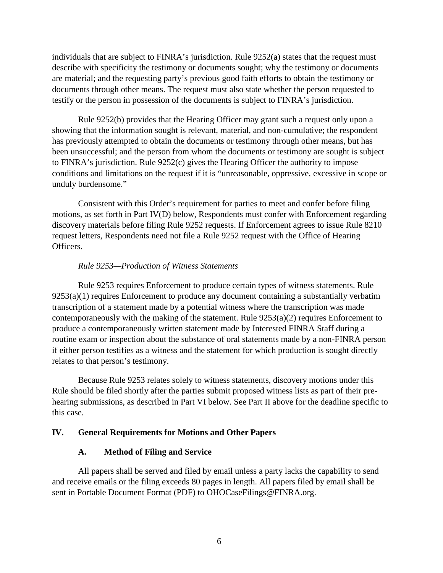individuals that are subject to FINRA's jurisdiction. Rule 9252(a) states that the request must describe with specificity the testimony or documents sought; why the testimony or documents are material; and the requesting party's previous good faith efforts to obtain the testimony or documents through other means. The request must also state whether the person requested to testify or the person in possession of the documents is subject to FINRA's jurisdiction.

Rule 9252(b) provides that the Hearing Officer may grant such a request only upon a showing that the information sought is relevant, material, and non-cumulative; the respondent has previously attempted to obtain the documents or testimony through other means, but has been unsuccessful; and the person from whom the documents or testimony are sought is subject to FINRA's jurisdiction. Rule 9252(c) gives the Hearing Officer the authority to impose conditions and limitations on the request if it is "unreasonable, oppressive, excessive in scope or unduly burdensome."

Consistent with this Order's requirement for parties to meet and confer before filing motions, as set forth in Part IV(D) below, Respondents must confer with Enforcement regarding discovery materials before filing Rule 9252 requests. If Enforcement agrees to issue Rule 8210 request letters, Respondents need not file a Rule 9252 request with the Office of Hearing Officers.

#### *Rule 9253—Production of Witness Statements*

Rule 9253 requires Enforcement to produce certain types of witness statements. Rule 9253(a)(1) requires Enforcement to produce any document containing a substantially verbatim transcription of a statement made by a potential witness where the transcription was made contemporaneously with the making of the statement. Rule 9253(a)(2) requires Enforcement to produce a contemporaneously written statement made by Interested FINRA Staff during a routine exam or inspection about the substance of oral statements made by a non-FINRA person if either person testifies as a witness and the statement for which production is sought directly relates to that person's testimony.

Because Rule 9253 relates solely to witness statements, discovery motions under this Rule should be filed shortly after the parties submit proposed witness lists as part of their prehearing submissions, as described in Part VI below. See Part II above for the deadline specific to this case.

#### **IV. General Requirements for Motions and Other Papers**

### **A. Method of Filing and Service**

All papers shall be served and filed by email unless a party lacks the capability to send and receive emails or the filing exceeds 80 pages in length. All papers filed by email shall be sent in Portable Document Format (PDF) to [OHOCaseFilings@FINRA.org.](mailto:OHOCaseFilings@FINRA.org)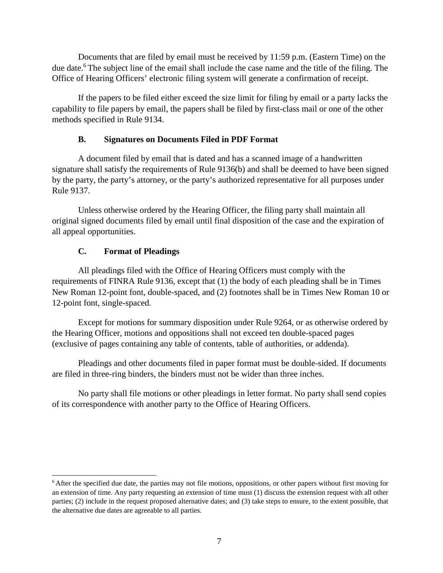Documents that are filed by email must be received by 11:59 p.m. (Eastern Time) on the due date.<sup>6</sup> The subject line of the email shall include the case name and the title of the filing. The Office of Hearing Officers' electronic filing system will generate a confirmation of receipt.

If the papers to be filed either exceed the size limit for filing by email or a party lacks the capability to file papers by email, the papers shall be filed by first-class mail or one of the other methods specified in Rule 9134.

## **B. Signatures on Documents Filed in PDF Format**

A document filed by email that is dated and has a scanned image of a handwritten signature shall satisfy the requirements of Rule 9136(b) and shall be deemed to have been signed by the party, the party's attorney, or the party's authorized representative for all purposes under Rule 9137.

Unless otherwise ordered by the Hearing Officer, the filing party shall maintain all original signed documents filed by email until final disposition of the case and the expiration of all appeal opportunities.

# **C. Format of Pleadings**

All pleadings filed with the Office of Hearing Officers must comply with the requirements of FINRA Rule 9136, except that (1) the body of each pleading shall be in Times New Roman 12-point font, double-spaced, and (2) footnotes shall be in Times New Roman 10 or 12-point font, single-spaced.

Except for motions for summary disposition under Rule 9264, or as otherwise ordered by the Hearing Officer, motions and oppositions shall not exceed ten double-spaced pages (exclusive of pages containing any table of contents, table of authorities, or addenda).

Pleadings and other documents filed in paper format must be double-sided. If documents are filed in three-ring binders, the binders must not be wider than three inches.

No party shall file motions or other pleadings in letter format. No party shall send copies of its correspondence with another party to the Office of Hearing Officers.

<span id="page-6-0"></span><sup>&</sup>lt;sup>6</sup> After the specified due date, the parties may not file motions, oppositions, or other papers without first moving for an extension of time. Any party requesting an extension of time must (1) discuss the extension request with all other parties; (2) include in the request proposed alternative dates; and (3) take steps to ensure, to the extent possible, that the alternative due dates are agreeable to all parties.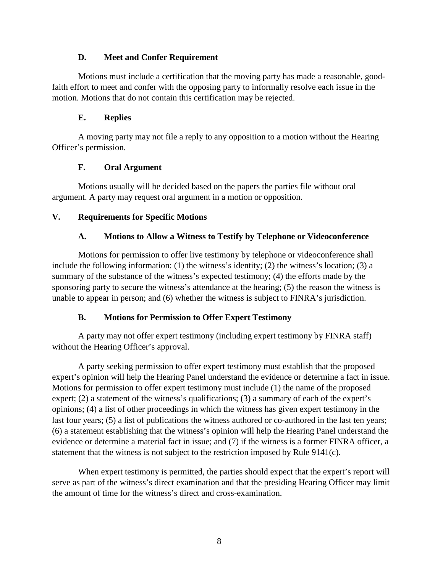#### **D. Meet and Confer Requirement**

Motions must include a certification that the moving party has made a reasonable, goodfaith effort to meet and confer with the opposing party to informally resolve each issue in the motion. Motions that do not contain this certification may be rejected.

#### **E. Replies**

A moving party may not file a reply to any opposition to a motion without the Hearing Officer's permission.

### **F. Oral Argument**

Motions usually will be decided based on the papers the parties file without oral argument. A party may request oral argument in a motion or opposition.

### **V. Requirements for Specific Motions**

### **A. Motions to Allow a Witness to Testify by Telephone or Videoconference**

Motions for permission to offer live testimony by telephone or videoconference shall include the following information: (1) the witness's identity; (2) the witness's location; (3) a summary of the substance of the witness's expected testimony; (4) the efforts made by the sponsoring party to secure the witness's attendance at the hearing; (5) the reason the witness is unable to appear in person; and (6) whether the witness is subject to FINRA's jurisdiction.

### **B. Motions for Permission to Offer Expert Testimony**

A party may not offer expert testimony (including expert testimony by FINRA staff) without the Hearing Officer's approval.

A party seeking permission to offer expert testimony must establish that the proposed expert's opinion will help the Hearing Panel understand the evidence or determine a fact in issue. Motions for permission to offer expert testimony must include (1) the name of the proposed expert; (2) a statement of the witness's qualifications; (3) a summary of each of the expert's opinions; (4) a list of other proceedings in which the witness has given expert testimony in the last four years; (5) a list of publications the witness authored or co-authored in the last ten years; (6) a statement establishing that the witness's opinion will help the Hearing Panel understand the evidence or determine a material fact in issue; and (7) if the witness is a former FINRA officer, a statement that the witness is not subject to the restriction imposed by Rule 9141(c).

When expert testimony is permitted, the parties should expect that the expert's report will serve as part of the witness's direct examination and that the presiding Hearing Officer may limit the amount of time for the witness's direct and cross-examination.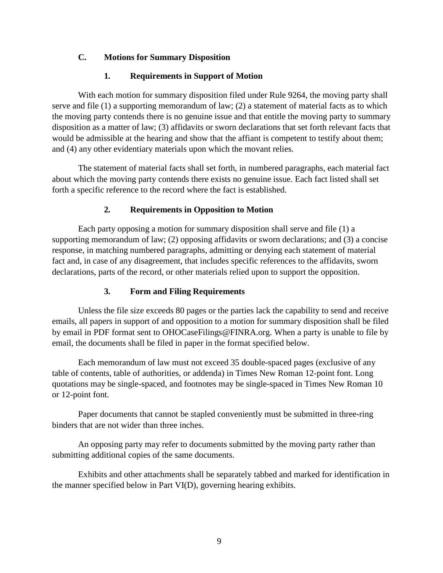### **C. Motions for Summary Disposition**

### **1. Requirements in Support of Motion**

With each motion for summary disposition filed under Rule 9264, the moving party shall serve and file (1) a supporting memorandum of law; (2) a statement of material facts as to which the moving party contends there is no genuine issue and that entitle the moving party to summary disposition as a matter of law; (3) affidavits or sworn declarations that set forth relevant facts that would be admissible at the hearing and show that the affiant is competent to testify about them; and (4) any other evidentiary materials upon which the movant relies.

The statement of material facts shall set forth, in numbered paragraphs, each material fact about which the moving party contends there exists no genuine issue. Each fact listed shall set forth a specific reference to the record where the fact is established.

## **2. Requirements in Opposition to Motion**

Each party opposing a motion for summary disposition shall serve and file (1) a supporting memorandum of law; (2) opposing affidavits or sworn declarations; and (3) a concise response, in matching numbered paragraphs, admitting or denying each statement of material fact and, in case of any disagreement, that includes specific references to the affidavits, sworn declarations, parts of the record, or other materials relied upon to support the opposition.

# **3. Form and Filing Requirements**

Unless the file size exceeds 80 pages or the parties lack the capability to send and receive emails, all papers in support of and opposition to a motion for summary disposition shall be filed by email in PDF format sent to [OHOCaseFilings@FINRA.org.](mailto:OHOCaseFilings@FINRA.org) When a party is unable to file by email, the documents shall be filed in paper in the format specified below.

Each memorandum of law must not exceed 35 double-spaced pages (exclusive of any table of contents, table of authorities, or addenda) in Times New Roman 12-point font. Long quotations may be single-spaced, and footnotes may be single-spaced in Times New Roman 10 or 12-point font.

Paper documents that cannot be stapled conveniently must be submitted in three-ring binders that are not wider than three inches.

An opposing party may refer to documents submitted by the moving party rather than submitting additional copies of the same documents.

Exhibits and other attachments shall be separately tabbed and marked for identification in the manner specified below in Part VI(D), governing hearing exhibits.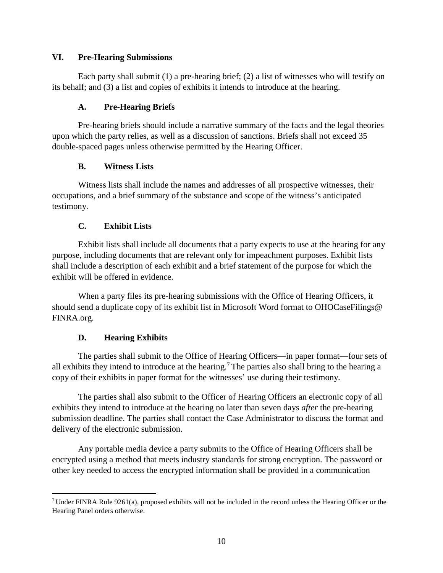#### **VI. Pre-Hearing Submissions**

Each party shall submit (1) a pre-hearing brief; (2) a list of witnesses who will testify on its behalf; and (3) a list and copies of exhibits it intends to introduce at the hearing.

### **A. Pre-Hearing Briefs**

Pre-hearing briefs should include a narrative summary of the facts and the legal theories upon which the party relies, as well as a discussion of sanctions. Briefs shall not exceed 35 double-spaced pages unless otherwise permitted by the Hearing Officer.

### **B. Witness Lists**

Witness lists shall include the names and addresses of all prospective witnesses, their occupations, and a brief summary of the substance and scope of the witness's anticipated testimony.

### **C. Exhibit Lists**

Exhibit lists shall include all documents that a party expects to use at the hearing for any purpose, including documents that are relevant only for impeachment purposes. Exhibit lists shall include a description of each exhibit and a brief statement of the purpose for which the exhibit will be offered in evidence.

When a party files its pre-hearing submissions with the Office of Hearing Officers, it should send a duplicate copy of its exhibit list in Microsoft Word format to OHOCaseFilings@ FINRA.org.

### **D. Hearing Exhibits**

The parties shall submit to the Office of Hearing Officers—in paper format—four sets of all exhibits they intend to introduce at the hearing.[7](#page-9-0) The parties also shall bring to the hearing a copy of their exhibits in paper format for the witnesses' use during their testimony.

The parties shall also submit to the Officer of Hearing Officers an electronic copy of all exhibits they intend to introduce at the hearing no later than seven days *after* the pre-hearing submission deadline. The parties shall contact the Case Administrator to discuss the format and delivery of the electronic submission.

Any portable media device a party submits to the Office of Hearing Officers shall be encrypted using a method that meets industry standards for strong encryption. The password or other key needed to access the encrypted information shall be provided in a communication

<span id="page-9-0"></span><sup>&</sup>lt;sup>7</sup> Under FINRA Rule 9261(a), proposed exhibits will not be included in the record unless the Hearing Officer or the Hearing Panel orders otherwise.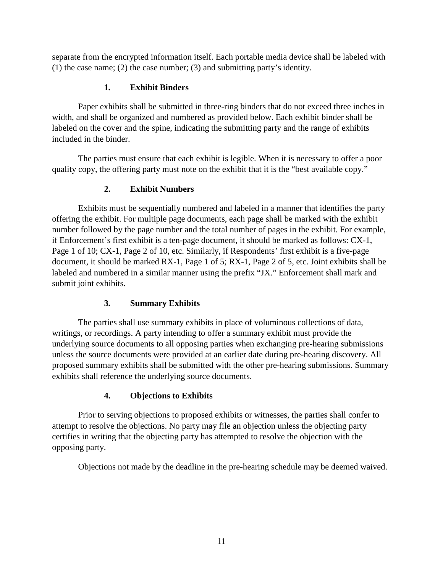separate from the encrypted information itself. Each portable media device shall be labeled with (1) the case name; (2) the case number; (3) and submitting party's identity.

## **1. Exhibit Binders**

Paper exhibits shall be submitted in three-ring binders that do not exceed three inches in width, and shall be organized and numbered as provided below. Each exhibit binder shall be labeled on the cover and the spine, indicating the submitting party and the range of exhibits included in the binder.

The parties must ensure that each exhibit is legible. When it is necessary to offer a poor quality copy, the offering party must note on the exhibit that it is the "best available copy."

# **2. Exhibit Numbers**

Exhibits must be sequentially numbered and labeled in a manner that identifies the party offering the exhibit. For multiple page documents, each page shall be marked with the exhibit number followed by the page number and the total number of pages in the exhibit. For example, if Enforcement's first exhibit is a ten-page document, it should be marked as follows: CX-1, Page 1 of 10; CX-1, Page 2 of 10, etc. Similarly, if Respondents' first exhibit is a five-page document, it should be marked RX-1, Page 1 of 5; RX-1, Page 2 of 5, etc. Joint exhibits shall be labeled and numbered in a similar manner using the prefix "JX." Enforcement shall mark and submit joint exhibits.

# **3. Summary Exhibits**

The parties shall use summary exhibits in place of voluminous collections of data, writings, or recordings. A party intending to offer a summary exhibit must provide the underlying source documents to all opposing parties when exchanging pre-hearing submissions unless the source documents were provided at an earlier date during pre-hearing discovery. All proposed summary exhibits shall be submitted with the other pre-hearing submissions. Summary exhibits shall reference the underlying source documents.

# **4. Objections to Exhibits**

Prior to serving objections to proposed exhibits or witnesses, the parties shall confer to attempt to resolve the objections. No party may file an objection unless the objecting party certifies in writing that the objecting party has attempted to resolve the objection with the opposing party.

Objections not made by the deadline in the pre-hearing schedule may be deemed waived.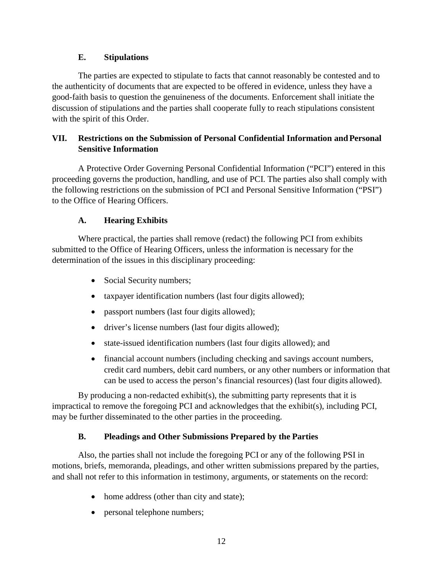#### **E. Stipulations**

The parties are expected to stipulate to facts that cannot reasonably be contested and to the authenticity of documents that are expected to be offered in evidence, unless they have a good-faith basis to question the genuineness of the documents. Enforcement shall initiate the discussion of stipulations and the parties shall cooperate fully to reach stipulations consistent with the spirit of this Order.

## **VII. Restrictions on the Submission of Personal Confidential Information and Personal Sensitive Information**

A Protective Order Governing Personal Confidential Information ("PCI") entered in this proceeding governs the production, handling, and use of PCI. The parties also shall comply with the following restrictions on the submission of PCI and Personal Sensitive Information ("PSI") to the Office of Hearing Officers.

## **A. Hearing Exhibits**

Where practical, the parties shall remove (redact) the following PCI from exhibits submitted to the Office of Hearing Officers, unless the information is necessary for the determination of the issues in this disciplinary proceeding:

- Social Security numbers;
- taxpayer identification numbers (last four digits allowed);
- passport numbers (last four digits allowed);
- driver's license numbers (last four digits allowed);
- state-issued identification numbers (last four digits allowed); and
- financial account numbers (including checking and savings account numbers, credit card numbers, debit card numbers, or any other numbers or information that can be used to access the person's financial resources) (last four digits allowed).

By producing a non-redacted exhibit(s), the submitting party represents that it is impractical to remove the foregoing PCI and acknowledges that the exhibit(s), including PCI, may be further disseminated to the other parties in the proceeding.

### **B. Pleadings and Other Submissions Prepared by the Parties**

Also, the parties shall not include the foregoing PCI or any of the following PSI in motions, briefs, memoranda, pleadings, and other written submissions prepared by the parties, and shall not refer to this information in testimony, arguments, or statements on the record:

- home address (other than city and state);
- personal telephone numbers;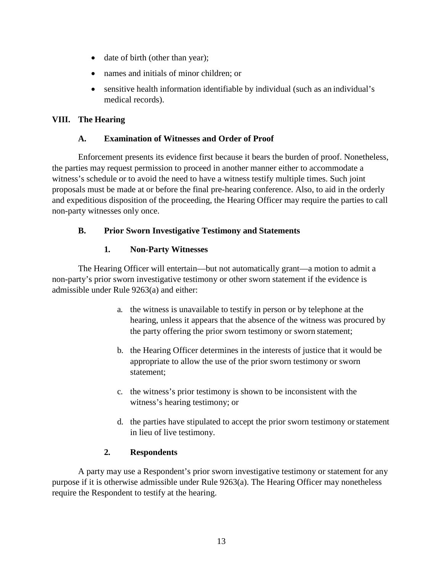- date of birth (other than year);
- names and initials of minor children; or
- sensitive health information identifiable by individual (such as an individual's medical records).

# **VIII. The Hearing**

## **A. Examination of Witnesses and Order of Proof**

Enforcement presents its evidence first because it bears the burden of proof. Nonetheless, the parties may request permission to proceed in another manner either to accommodate a witness's schedule or to avoid the need to have a witness testify multiple times. Such joint proposals must be made at or before the final pre-hearing conference. Also, to aid in the orderly and expeditious disposition of the proceeding, the Hearing Officer may require the parties to call non-party witnesses only once.

# **B. Prior Sworn Investigative Testimony and Statements**

## **1. Non-Party Witnesses**

The Hearing Officer will entertain—but not automatically grant—a motion to admit a non-party's prior sworn investigative testimony or other sworn statement if the evidence is admissible under Rule 9263(a) and either:

- a. the witness is unavailable to testify in person or by telephone at the hearing, unless it appears that the absence of the witness was procured by the party offering the prior sworn testimony or sworn statement;
- b. the Hearing Officer determines in the interests of justice that it would be appropriate to allow the use of the prior sworn testimony or sworn statement;
- c. the witness's prior testimony is shown to be inconsistent with the witness's hearing testimony; or
- d. the parties have stipulated to accept the prior sworn testimony orstatement in lieu of live testimony.

# **2. Respondents**

A party may use a Respondent's prior sworn investigative testimony or statement for any purpose if it is otherwise admissible under Rule 9263(a). The Hearing Officer may nonetheless require the Respondent to testify at the hearing.